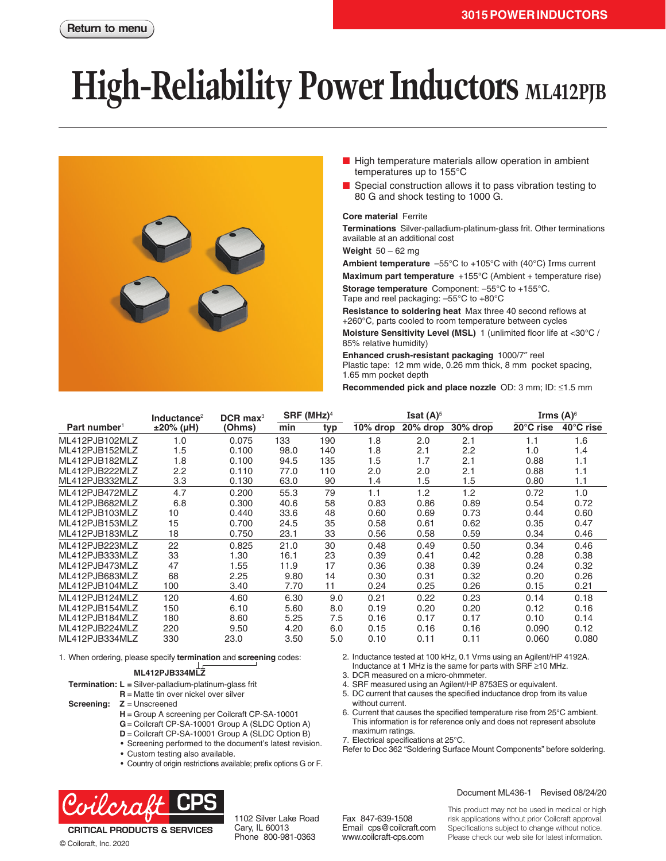# **High-Reliability Power Inductors ML412PJB**



- High temperature materials allow operation in ambient temperatures up to 155°C
- Special construction allows it to pass vibration testing to 80 G and shock testing to 1000 G.

#### **Core material** Ferrite

**Terminations** Silver-palladium-platinum-glass frit. Other terminations available at an additional cost

**Weight** 50 – 62 mg

**Ambient temperature** –55°C to +105°C with (40°C) Irms current

**Maximum part temperature** +155°C (Ambient + temperature rise) **Storage temperature** Component: –55°C to +155°C. Tape and reel packaging: –55°C to +80°C

**Resistance to soldering heat** Max three 40 second reflows at +260°C, parts cooled to room temperature between cycles

**Moisture Sensitivity Level (MSL)** 1 (unlimited floor life at <30°C / 85% relative humidity)

**Enhanced crush-resistant packaging** 1000/7″ reel Plastic tape: 12 mm wide, 0.26 mm thick, 8 mm pocket spacing, 1.65 mm pocket depth

**Recommended pick and place nozzle** OD: 3 mm; ID: ≤1.5 mm

|                          | Inductance $2$ | $DCR$ max <sup>3</sup> | $SRF$ (MHz) <sup>4</sup> |     |          | Isat $(A)^5$ |          |           | Irms $(A)^6$ |  |
|--------------------------|----------------|------------------------|--------------------------|-----|----------|--------------|----------|-----------|--------------|--|
| Part number <sup>1</sup> | ±20% (µH)      | (Ohms)                 | min                      | typ | 10% drop | 20% drop     | 30% drop | 20°C rise | 40°C rise    |  |
| ML412PJB102MLZ           | 1.0            | 0.075                  | 133                      | 190 | 1.8      | 2.0          | 2.1      | 1.1       | 1.6          |  |
| ML412PJB152MLZ           | 1.5            | 0.100                  | 98.0                     | 140 | 1.8      | 2.1          | 2.2      | 1.0       | 1.4          |  |
| ML412PJB182MLZ           | 1.8            | 0.100                  | 94.5                     | 135 | 1.5      | 1.7          | 2.1      | 0.88      | 1.1          |  |
| ML412PJB222MLZ           | 2.2            | 0.110                  | 77.0                     | 110 | 2.0      | 2.0          | 2.1      | 0.88      | 1.1          |  |
| ML412PJB332MLZ           | 3.3            | 0.130                  | 63.0                     | 90  | 1.4      | 1.5          | 1.5      | 0.80      | 1.1          |  |
| ML412PJB472MLZ           | 4.7            | 0.200                  | 55.3                     | 79  | 1.1      | 1.2          | 1.2      | 0.72      | 1.0          |  |
| ML412PJB682MLZ           | 6.8            | 0.300                  | 40.6                     | 58  | 0.83     | 0.86         | 0.89     | 0.54      | 0.72         |  |
| MI 412PJB103MI 7         | 10             | 0.440                  | 33.6                     | 48  | 0.60     | 0.69         | 0.73     | 0.44      | 0.60         |  |
| ML412PJB153MLZ           | 15             | 0.700                  | 24.5                     | 35  | 0.58     | 0.61         | 0.62     | 0.35      | 0.47         |  |
| ML412PJB183MLZ           | 18             | 0.750                  | 23.1                     | 33  | 0.56     | 0.58         | 0.59     | 0.34      | 0.46         |  |
| MI 412PJB223MI 7         | 22             | 0.825                  | 21.0                     | 30  | 0.48     | 0.49         | 0.50     | 0.34      | 0.46         |  |
| ML412PJB333MLZ           | 33             | 1.30                   | 16.1                     | 23  | 0.39     | 0.41         | 0.42     | 0.28      | 0.38         |  |
| ML412PJB473MLZ           | 47             | 1.55                   | 11.9                     | 17  | 0.36     | 0.38         | 0.39     | 0.24      | 0.32         |  |
| ML412PJB683MLZ           | 68             | 2.25                   | 9.80                     | 14  | 0.30     | 0.31         | 0.32     | 0.20      | 0.26         |  |
| ML412PJB104MLZ           | 100            | 3.40                   | 7.70                     | 11  | 0.24     | 0.25         | 0.26     | 0.15      | 0.21         |  |
| ML412PJB124MLZ           | 120            | 4.60                   | 6.30                     | 9.0 | 0.21     | 0.22         | 0.23     | 0.14      | 0.18         |  |
| ML412PJB154MLZ           | 150            | 6.10                   | 5.60                     | 8.0 | 0.19     | 0.20         | 0.20     | 0.12      | 0.16         |  |
| ML412PJB184MLZ           | 180            | 8.60                   | 5.25                     | 7.5 | 0.16     | 0.17         | 0.17     | 0.10      | 0.14         |  |
| ML412PJB224MLZ           | 220            | 9.50                   | 4.20                     | 6.0 | 0.15     | 0.16         | 0.16     | 0.090     | 0.12         |  |
| ML412PJB334MLZ           | 330            | 23.0                   | 3.50                     | 5.0 | 0.10     | 0.11         | 0.11     | 0.060     | 0.080        |  |

1. When ordering, please specify **termination** and **screening** codes:

### **ML412PJB334MLZ**

**Termination: L =** Silver-palladium-platinum-glass frit

**R** = Matte tin over nickel over silver

**Screening: Z** = Unscreened

- **H** = Group A screening per Coilcraft CP-SA-10001
- **G**= Coilcraft CP-SA-10001 Group A (SLDC Option A)
- **D** = Coilcraft CP-SA-10001 Group A (SLDC Option B)
- Screening performed to the document's latest revision.
- Custom testing also available.
- Country of origin restrictions available; prefix options G or F.



**CRITICAL PRODUCTS & SERVICES** 

1102 Silver Lake Road Cary, IL 60013 Phone 800-981-0363

2. Inductance tested at 100 kHz, 0.1 Vrms using an Agilent/HP 4192A. Inductance at 1 MHz is the same for parts with SRF ≥10 MHz.

- 3. DCR measured on a micro-ohmmeter.
- 4. SRF measured using an Agilent/HP 8753ES or equivalent.
- 5. DC current that causes the specified inductance drop from its value without current.
- 6. Current that causes the specified temperature rise from 25°C ambient. This information is for reference only and does not represent absolute maximum ratings.
- 7. Electrical specifications at 25°C.
- Refer to Doc 362 "Soldering Surface Mount Components" before soldering.

Document ML436-1 Revised 08/24/20

Fax 847-639-1508 Email cps@coilcraft.com www.coilcraft-cps.com

This product may not be used in medical or high risk applications without prior Coilcraft approval. Specifications subject to change without notice. Please check our web site for latest information.